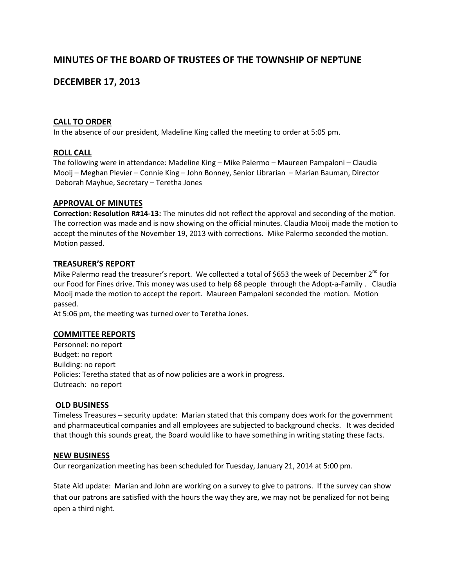# **MINUTES OF THE BOARD OF TRUSTEES OF THE TOWNSHIP OF NEPTUNE**

# **DECEMBER 17, 2013**

### **CALL TO ORDER**

In the absence of our president, Madeline King called the meeting to order at 5:05 pm.

### **ROLL CALL**

The following were in attendance: Madeline King – Mike Palermo – Maureen Pampaloni – Claudia Mooij – Meghan Plevier – Connie King – John Bonney, Senior Librarian – Marian Bauman, Director Deborah Mayhue, Secretary – Teretha Jones

#### **APPROVAL OF MINUTES**

**Correction: Resolution R#14-13:** The minutes did not reflect the approval and seconding of the motion. The correction was made and is now showing on the official minutes. Claudia Mooij made the motion to accept the minutes of the November 19, 2013 with corrections. Mike Palermo seconded the motion. Motion passed.

#### **TREASURER'S REPORT**

Mike Palermo read the treasurer's report. We collected a total of \$653 the week of December  $2^{nd}$  for our Food for Fines drive. This money was used to help 68 people through the Adopt-a-Family . Claudia Mooij made the motion to accept the report. Maureen Pampaloni seconded the motion. Motion passed.

At 5:06 pm, the meeting was turned over to Teretha Jones.

#### **COMMITTEE REPORTS**

Personnel: no report Budget: no report Building: no report Policies: Teretha stated that as of now policies are a work in progress. Outreach: no report

#### **OLD BUSINESS**

Timeless Treasures – security update: Marian stated that this company does work for the government and pharmaceutical companies and all employees are subjected to background checks. It was decided that though this sounds great, the Board would like to have something in writing stating these facts.

#### **NEW BUSINESS**

Our reorganization meeting has been scheduled for Tuesday, January 21, 2014 at 5:00 pm.

State Aid update: Marian and John are working on a survey to give to patrons. If the survey can show that our patrons are satisfied with the hours the way they are, we may not be penalized for not being open a third night.